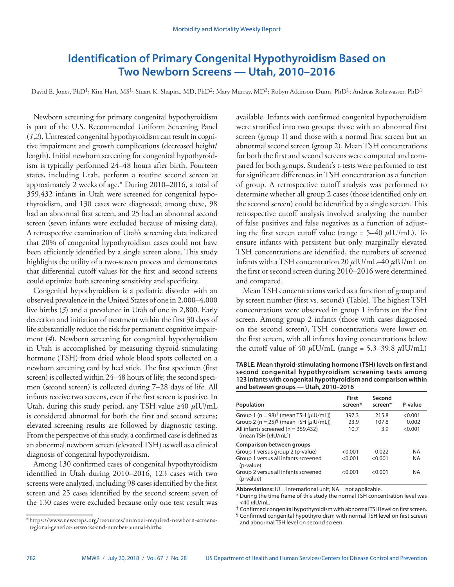# **Identification of Primary Congenital Hypothyroidism Based on Two Newborn Screens — Utah, 2010–2016**

David E. Jones, PhD<sup>1</sup>; Kim Hart, MS<sup>1</sup>; Stuart K. Shapira, MD, PhD<sup>2</sup>; Mary Murray, MD<sup>3</sup>; Robyn Atkinson-Dunn, PhD<sup>1</sup>; Andreas Rohrwasser, PhD<sup>1</sup>

Newborn screening for primary congenital hypothyroidism is part of the U.S. Recommended Uniform Screening Panel (*1*,*2*). Untreated congenital hypothyroidism can result in cognitive impairment and growth complications (decreased height/ length). Initial newborn screening for congenital hypothyroidism is typically performed 24–48 hours after birth. Fourteen states, including Utah, perform a routine second screen at approximately 2 weeks of age.\* During 2010–2016, a total of 359,432 infants in Utah were screened for congenital hypothyroidism, and 130 cases were diagnosed; among these, 98 had an abnormal first screen, and 25 had an abnormal second screen (seven infants were excluded because of missing data). A retrospective examination of Utah's screening data indicated that 20% of congenital hypothyroidism cases could not have been efficiently identified by a single screen alone. This study highlights the utility of a two-screen process and demonstrates that differential cutoff values for the first and second screens could optimize both screening sensitivity and specificity.

Congenital hypothyroidism is a pediatric disorder with an observed prevalence in the United States of one in 2,000–4,000 live births (*3*) and a prevalence in Utah of one in 2,800. Early detection and initiation of treatment within the first 30 days of life substantially reduce the risk for permanent cognitive impairment (*4*). Newborn screening for congenital hypothyroidism in Utah is accomplished by measuring thyroid-stimulating hormone (TSH) from dried whole blood spots collected on a newborn screening card by heel stick. The first specimen (first screen) is collected within 24–48 hours of life; the second specimen (second screen) is collected during 7–28 days of life. All infants receive two screens, even if the first screen is positive. In Utah, during this study period, any TSH value ≥40 *µ*IU/mL is considered abnormal for both the first and second screens; elevated screening results are followed by diagnostic testing. From the perspective of this study, a confirmed case is defined as an abnormal newborn screen (elevated TSH) as well as a clinical diagnosis of congenital hypothyroidism.

Among 130 confirmed cases of congenital hypothyroidism identified in Utah during 2010–2016, 123 cases with two screens were analyzed, including 98 cases identified by the first screen and 25 cases identified by the second screen; seven of the 130 cases were excluded because only one test result was

available. Infants with confirmed congenital hypothyroidism were stratified into two groups: those with an abnormal first screen (group 1) and those with a normal first screen but an abnormal second screen (group 2). Mean TSH concentrations for both the first and second screens were computed and compared for both groups. Student's t-tests were performed to test for significant differences in TSH concentration as a function of group. A retrospective cutoff analysis was performed to determine whether all group 2 cases (those identified only on the second screen) could be identified by a single screen. This retrospective cutoff analysis involved analyzing the number of false positives and false negatives as a function of adjusting the first screen cutoff value (range = 5–40 *µ*IU/mL). To ensure infants with persistent but only marginally elevated TSH concentrations are identified, the numbers of screened infants with a TSH concentration 20 *µ*IU/mL–40 *µ*IU/mL on the first or second screen during 2010–2016 were determined and compared.

Mean TSH concentrations varied as a function of group and by screen number (first vs. second) (Table). The highest TSH concentrations were observed in group 1 infants on the first screen. Among group 2 infants (those with cases diagnosed on the second screen), TSH concentrations were lower on the first screen, with all infants having concentrations below the cutoff value of 40  $\mu$ IU/mL (range = 5.3–39.8  $\mu$ IU/mL)

**TABLE. Mean thyroid-stimulating hormone (TSH) levels on first and second congenital hypothyroidism screening tests among 123 infants with congenital hypothyroidism and comparison within and between groups — Utah, 2010–2016**

| Population                                                                                                                                                                    | First<br>screen*              | Second<br>screen*           | P-value                             |
|-------------------------------------------------------------------------------------------------------------------------------------------------------------------------------|-------------------------------|-----------------------------|-------------------------------------|
| Group 1 (n = 98) <sup>†</sup> (mean TSH [µIU/mL])<br>Group 2 (n = 25) <sup>§</sup> (mean TSH [µIU/mL])<br>All infants screened ( $n = 359,432$ )<br>(mean TSH [ $\mu$ IU/mL]) | 397.3<br>23.9<br>10.7         | 215.8<br>107.8<br>3.9       | < 0.001<br>0.002<br>< 0.001         |
| <b>Comparison between groups</b><br>Group 1 versus group 2 (p-value)<br>Group 1 versus all infants screened<br>(p-value)<br>Group 2 versus all infants screened<br>(p-value)  | < 0.001<br>< 0.001<br>< 0.001 | 0.022<br>< 0.001<br>< 0.001 | <b>NA</b><br><b>NA</b><br><b>NA</b> |

**Abbreviations:**  $IU =$  international unit;  $NA =$  not applicable.

 $^{\dagger}$  Confirmed congenital hypothyroidism with abnormal TSH level on first screen.

§ Confirmed congenital hypothyroidism with normal TSH level on first screen and abnormal TSH level on second screen.

<sup>\*</sup> [https://www.newsteps.org/resources/number-required-newborn-screens](https://www.newsteps.org/resources/number-required-newborn-screens-regional-genetics-networks-and-number-annual-births)[regional-genetics-networks-and-number-annual-births](https://www.newsteps.org/resources/number-required-newborn-screens-regional-genetics-networks-and-number-annual-births).

<sup>\*</sup> During the time frame of this study the normal TSH concentration level was <40 *µ*IU/mL.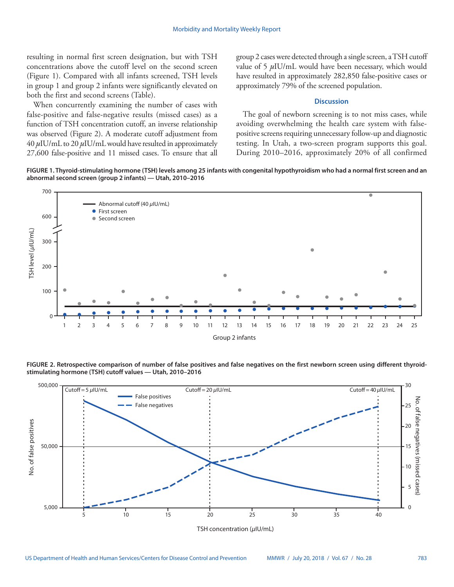resulting in normal first screen designation, but with TSH concentrations above the cutoff level on the second screen (Figure 1). Compared with all infants screened, TSH levels in group 1 and group 2 infants were significantly elevated on both the first and second screens (Table).

When concurrently examining the number of cases with false-positive and false-negative results (missed cases) as a function of TSH concentration cutoff, an inverse relationship was observed (Figure 2). A moderate cutoff adjustment from 40 *µ*IU/mL to 20 *µ*IU/mL would have resulted in approximately 27,600 false-positive and 11 missed cases. To ensure that all group 2 cases were detected through a single screen, a TSH cutoff value of 5  $\mu$ IU/mL would have been necessary, which would have resulted in approximately 282,850 false-positive cases or approximately 79% of the screened population.

# **Discussion**

The goal of newborn screening is to not miss cases, while avoiding overwhelming the health care system with falsepositive screens requiring unnecessary follow-up and diagnostic testing. In Utah, a two-screen program supports this goal. During 2010–2016, approximately 20% of all confirmed

**FIGURE 1. Thyroid-stimulating hormone (TSH) levels among 25 infants with congenital hypothyroidism who had a normal first screen and an abnormal second screen (group 2 infants) — Utah, 2010–2016**



**FIGURE 2. Retrospective comparison of number of false positives and false negatives on the first newborn screen using different thyroidstimulating hormone (TSH) cutoff values — Utah, 2010–2016**

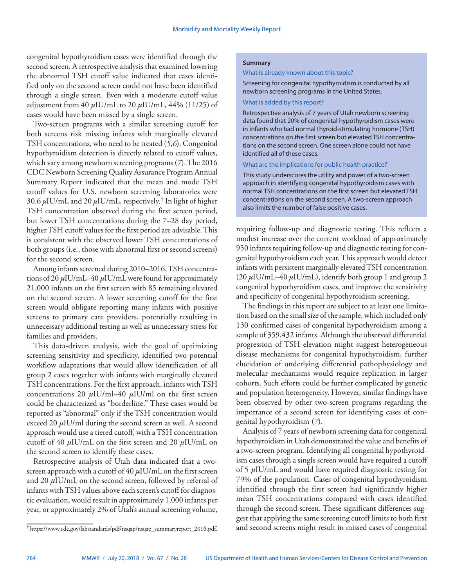congenital hypothyroidism cases were identified through the second screen. A retrospective analysis that examined lowering the abnormal TSH cutoff value indicated that cases identified only on the second screen could not have been identified through a single screen. Even with a moderate cutoff value adjustment from 40 *µ*IU/mL to 20 *µ*IU/mL, 44% (11/25) of cases would have been missed by a single screen.

Two-screen programs with a similar screening cutoff for both screens risk missing infants with marginally elevated TSH concentrations, who need to be treated (*5*,*6*). Congenital hypothyroidism detection is directly related to cutoff values, which vary among newborn screening programs (*7*). The 2016 CDC Newborn Screening Quality Assurance Program Annual Summary Report indicated that the mean and mode TSH cutoff values for U.S. newborn screening laboratories were 30.6 *µ*IU/mL and 20 *µ*IU/mL, respectively.† In light of higher TSH concentration observed during the first screen period, but lower TSH concentrations during the 7–28 day period, higher TSH cutoff values for the first period are advisable. This is consistent with the observed lower TSH concentrations of both groups (i.e., those with abnormal first or second screens) for the second screen.

Among infants screened during 2010–2016, TSH concentrations of 20 *µ*IU/mL–40 *µ*IU/mL were found for approximately 21,000 infants on the first screen with 85 remaining elevated on the second screen. A lower screening cutoff for the first screen would obligate reporting many infants with positive screens to primary care providers, potentially resulting in unnecessary additional testing as well as unnecessary stress for families and providers.

This data-driven analysis, with the goal of optimizing screening sensitivity and specificity, identified two potential workflow adaptations that would allow identification of all group 2 cases together with infants with marginally elevated TSH concentrations. For the first approach, infants with TSH concentrations 20 *µ*IU/ml–40 *µ*IU/ml on the first screen could be characterized as "borderline." These cases would be reported as "abnormal" only if the TSH concentration would exceed 20 *µ*IU/ml during the second screen as well. A second approach would use a tiered cutoff, with a TSH concentration cutoff of 40 *µ*IU/mL on the first screen and 20 *µ*IU/mL on the second screen to identify these cases.

Retrospective analysis of Utah data indicated that a twoscreen approach with a cutoff of 40 *µ*IU/mL on the first screen and 20  $\mu$ IU/mL on the second screen, followed by referral of infants with TSH values above each screen's cutoff for diagnostic evaluation, would result in approximately 1,000 infants per year, or approximately 2% of Utah's annual screening volume,

#### **Summary**

#### What is already known about this topic?

Screening for congenital hypothyroidism is conducted by all newborn screening programs in the United States.

# What is added by this report?

Retrospective analysis of 7 years of Utah newborn screening data found that 20% of congenital hypothyroidism cases were in infants who had normal thyroid-stimulating hormone (TSH) concentrations on the first screen but elevated TSH concentrations on the second screen. One screen alone could not have identified all of these cases.

## What are the implications for public health practice?

This study underscores the utility and power of a two-screen approach in identifying congenital hypothyroidism cases with normal TSH concentrations on the first screen but elevated TSH concentrations on the second screen. A two-screen approach also limits the number of false positive cases.

requiring follow-up and diagnostic testing. This reflects a modest increase over the current workload of approximately 950 infants requiring follow-up and diagnostic testing for congenital hypothyroidism each year. This approach would detect infants with persistent marginally elevated TSH concentration (20 *µ*IU/mL–40 *µ*IU/mL), identify both group 1 and group 2 congenital hypothyroidism cases, and improve the sensitivity and specificity of congenital hypothyroidism screening.

The findings in this report are subject to at least one limitation based on the small size of the sample, which included only 130 confirmed cases of congenital hypothyroidism among a sample of 359,432 infants. Although the observed differential progression of TSH elevation might suggest heterogeneous disease mechanisms for congenital hypothyroidism, further elucidation of underlying differential pathophysiology and molecular mechanisms would require replication in larger cohorts. Such efforts could be further complicated by genetic and population heterogeneity. However, similar findings have been observed by other two-screen programs regarding the importance of a second screen for identifying cases of congenital hypothyroidism (*7*).

Analysis of 7 years of newborn screening data for congenital hypothyroidism in Utah demonstrated the value and benefits of a two-screen program. Identifying all congenital hypothyroidism cases through a single screen would have required a cutoff of 5 *µ*IU/mL and would have required diagnostic testing for 79% of the population. Cases of congenital hypothyroidism identified through the first screen had significantly higher mean TSH concentrations compared with cases identified through the second screen. These significant differences suggest that applying the same screening cutoff limits to both first and second screens might result in missed cases of congenital

<sup>†</sup> [https://www.cdc.gov/labstandards/pdf/nsqap/nsqap\\_summaryreport\\_2016.pdf](https://www.cdc.gov/labstandards/pdf/nsqap/nsqap_summaryreport_2016.pdf).